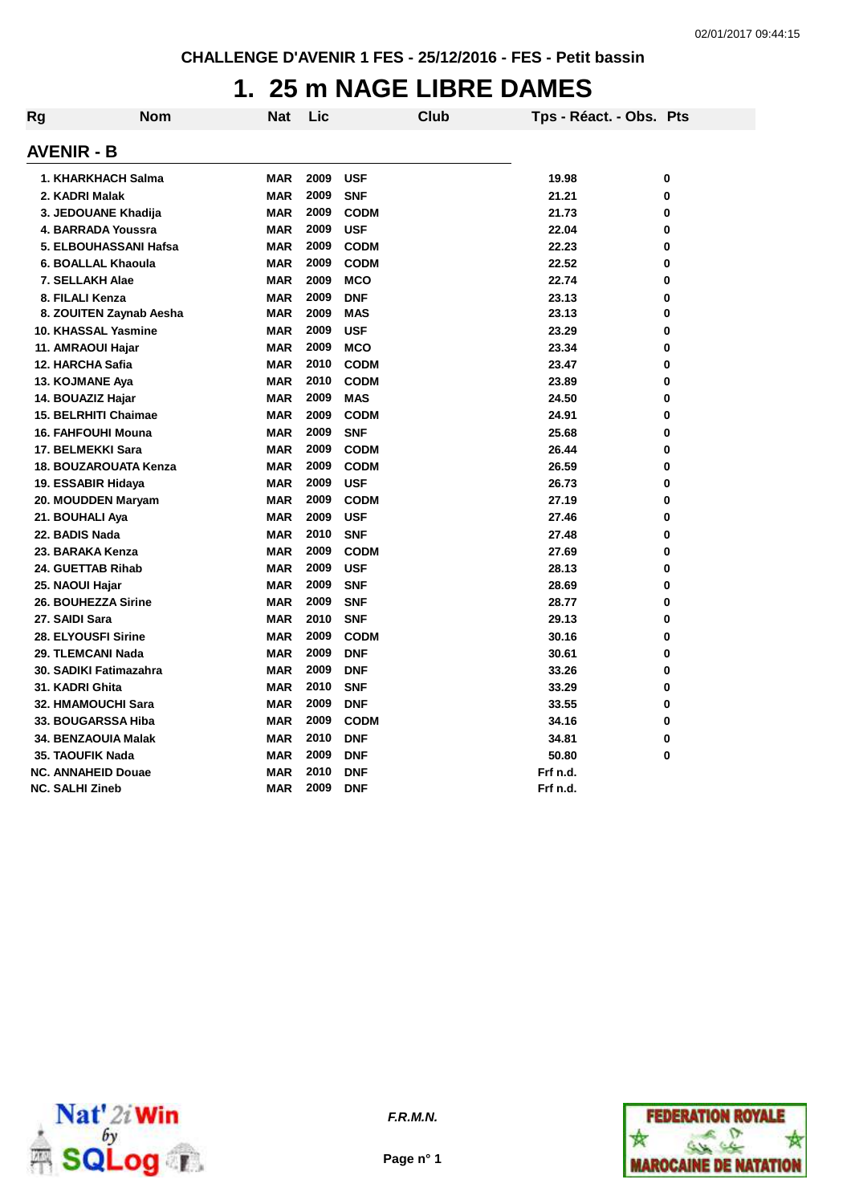### **1. 25 m NAGE LIBRE DAMES**

| Rg | Nom                       | Nat        | Lic  | Club        | Tps - Réact. - Obs. Pts |   |
|----|---------------------------|------------|------|-------------|-------------------------|---|
|    | <b>AVENIR - B</b>         |            |      |             |                         |   |
|    | 1. KHARKHACH Salma        | <b>MAR</b> | 2009 | <b>USF</b>  | 19.98                   | 0 |
|    | 2. KADRI Malak            | <b>MAR</b> | 2009 | <b>SNF</b>  | 21.21                   | 0 |
|    | 3. JEDOUANE Khadija       | <b>MAR</b> | 2009 | <b>CODM</b> | 21.73                   | 0 |
|    | 4. BARRADA Youssra        | <b>MAR</b> | 2009 | <b>USF</b>  | 22.04                   | 0 |
|    | 5. ELBOUHASSANI Hafsa     | <b>MAR</b> | 2009 | <b>CODM</b> | 22.23                   | 0 |
|    | 6. BOALLAL Khaoula        | <b>MAR</b> | 2009 | <b>CODM</b> | 22.52                   | 0 |
|    | 7. SELLAKH Alae           | <b>MAR</b> | 2009 | <b>MCO</b>  | 22.74                   | 0 |
|    | 8. FILALI Kenza           | <b>MAR</b> | 2009 | <b>DNF</b>  | 23.13                   | 0 |
|    | 8. ZOUITEN Zaynab Aesha   | <b>MAR</b> | 2009 | <b>MAS</b>  | 23.13                   | 0 |
|    | 10. KHASSAL Yasmine       | <b>MAR</b> | 2009 | <b>USF</b>  | 23.29                   | 0 |
|    | 11. AMRAOUI Hajar         | <b>MAR</b> | 2009 | <b>MCO</b>  | 23.34                   | 0 |
|    | 12. HARCHA Safia          | <b>MAR</b> | 2010 | <b>CODM</b> | 23.47                   | 0 |
|    | 13. KOJMANE Aya           | <b>MAR</b> | 2010 | <b>CODM</b> | 23.89                   | 0 |
|    | 14. BOUAZIZ Hajar         | <b>MAR</b> | 2009 | <b>MAS</b>  | 24.50                   | 0 |
|    | 15. BELRHITI Chaimae      | <b>MAR</b> | 2009 | <b>CODM</b> | 24.91                   | 0 |
|    | 16. FAHFOUHI Mouna        | <b>MAR</b> | 2009 | <b>SNF</b>  | 25.68                   | 0 |
|    | 17. BELMEKKI Sara         | <b>MAR</b> | 2009 | <b>CODM</b> | 26.44                   | 0 |
|    | 18. BOUZAROUATA Kenza     | <b>MAR</b> | 2009 | <b>CODM</b> | 26.59                   | 0 |
|    | 19. ESSABIR Hidaya        | <b>MAR</b> | 2009 | <b>USF</b>  | 26.73                   | 0 |
|    | 20. MOUDDEN Maryam        | <b>MAR</b> | 2009 | <b>CODM</b> | 27.19                   | 0 |
|    | 21. BOUHALI Aya           | <b>MAR</b> | 2009 | <b>USF</b>  | 27.46                   | 0 |
|    | 22. BADIS Nada            | <b>MAR</b> | 2010 | <b>SNF</b>  | 27.48                   | 0 |
|    | 23. BARAKA Kenza          | <b>MAR</b> | 2009 | <b>CODM</b> | 27.69                   | 0 |
|    | 24. GUETTAB Rihab         | <b>MAR</b> | 2009 | <b>USF</b>  | 28.13                   | 0 |
|    | 25. NAOUI Hajar           | <b>MAR</b> | 2009 | <b>SNF</b>  | 28.69                   | 0 |
|    | 26. BOUHEZZA Sirine       | <b>MAR</b> | 2009 | <b>SNF</b>  | 28.77                   | 0 |
|    | 27. SAIDI Sara            | <b>MAR</b> | 2010 | <b>SNF</b>  | 29.13                   | 0 |
|    | 28. ELYOUSFI Sirine       | <b>MAR</b> | 2009 | <b>CODM</b> | 30.16                   | 0 |
|    | 29. TLEMCANI Nada         | <b>MAR</b> | 2009 | <b>DNF</b>  | 30.61                   | 0 |
|    | 30. SADIKI Fatimazahra    | <b>MAR</b> | 2009 | <b>DNF</b>  | 33.26                   | 0 |
|    | 31. KADRI Ghita           | <b>MAR</b> | 2010 | <b>SNF</b>  | 33.29                   | 0 |
|    | <b>32. HMAMOUCHI Sara</b> | <b>MAR</b> | 2009 | <b>DNF</b>  | 33.55                   | 0 |
|    | 33. BOUGARSSA Hiba        | <b>MAR</b> | 2009 | <b>CODM</b> | 34.16                   | 0 |
|    | 34. BENZAOUIA Malak       | <b>MAR</b> | 2010 | <b>DNF</b>  | 34.81                   | 0 |
|    | 35. TAOUFIK Nada          | <b>MAR</b> | 2009 | <b>DNF</b>  | 50.80                   | 0 |
|    | <b>NC. ANNAHEID Douae</b> | <b>MAR</b> | 2010 | <b>DNF</b>  | Frf n.d.                |   |
|    | <b>NC. SALHI Zineb</b>    | <b>MAR</b> | 2009 | <b>DNF</b>  | Frf n.d.                |   |



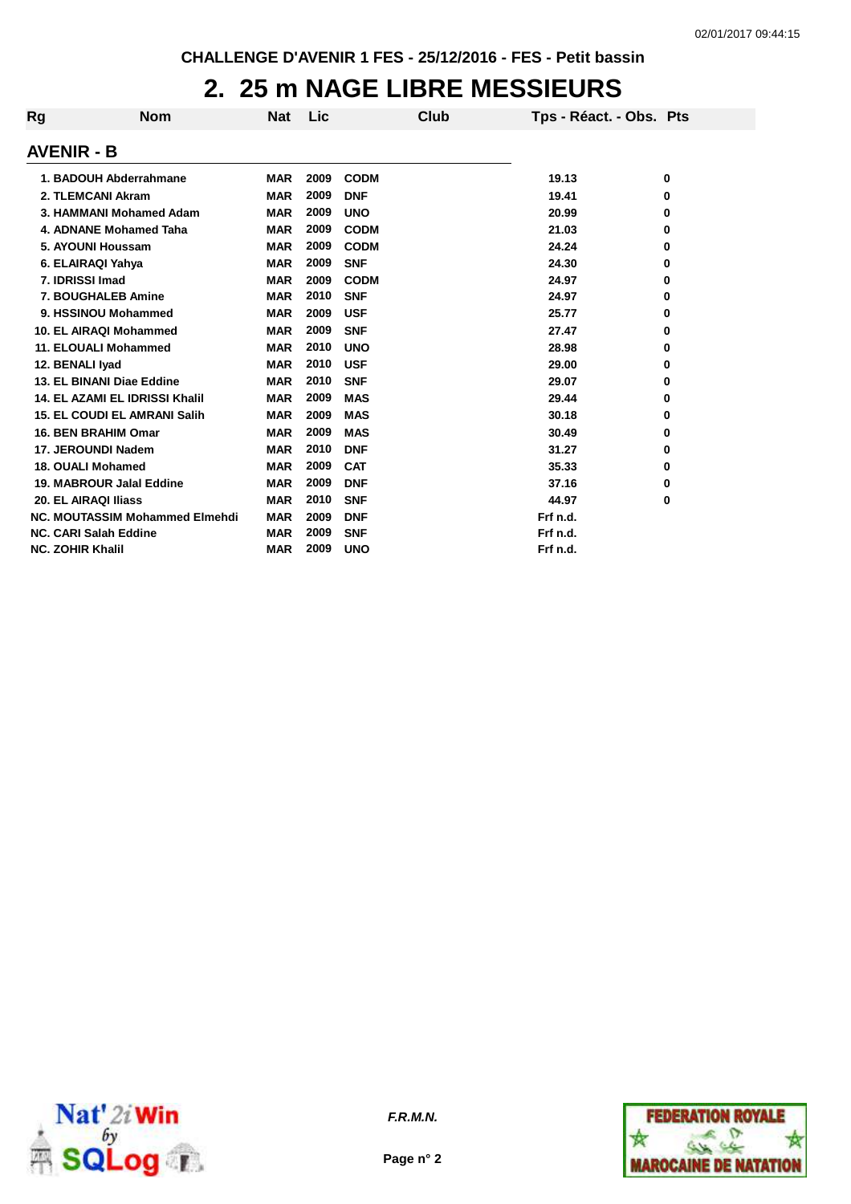#### **2. 25 m NAGE LIBRE MESSIEURS**

| Rg | <b>Nom</b>                            | <b>Nat</b> | Lic  | Club        | Tps - Réact. - Obs. Pts |   |
|----|---------------------------------------|------------|------|-------------|-------------------------|---|
|    | <b>AVENIR - B</b>                     |            |      |             |                         |   |
|    | 1. BADOUH Abderrahmane                | <b>MAR</b> | 2009 | <b>CODM</b> | 19.13                   | 0 |
|    | 2. TLEMCANI Akram                     | <b>MAR</b> | 2009 | <b>DNF</b>  | 19.41                   | 0 |
|    | 3. HAMMANI Mohamed Adam               | <b>MAR</b> | 2009 | <b>UNO</b>  | 20.99                   | 0 |
|    | 4. ADNANE Mohamed Taha                | <b>MAR</b> | 2009 | <b>CODM</b> | 21.03                   | 0 |
|    | 5. AYOUNI Houssam                     | <b>MAR</b> | 2009 | <b>CODM</b> | 24.24                   | 0 |
|    | 6. ELAIRAQI Yahya                     | <b>MAR</b> | 2009 | <b>SNF</b>  | 24.30                   | 0 |
|    | 7. IDRISSI Imad                       | <b>MAR</b> | 2009 | <b>CODM</b> | 24.97                   | 0 |
|    | 7. BOUGHALEB Amine                    | <b>MAR</b> | 2010 | <b>SNF</b>  | 24.97                   | 0 |
|    | 9. HSSINOU Mohammed                   | <b>MAR</b> | 2009 | <b>USF</b>  | 25.77                   | 0 |
|    | 10. EL AIRAQI Mohammed                | <b>MAR</b> | 2009 | <b>SNF</b>  | 27.47                   | 0 |
|    | <b>11. ELOUALI Mohammed</b>           | <b>MAR</b> | 2010 | <b>UNO</b>  | 28.98                   | 0 |
|    | 12. BENALI Iyad                       | <b>MAR</b> | 2010 | <b>USF</b>  | 29.00                   | 0 |
|    | 13. EL BINANI Diae Eddine             | <b>MAR</b> | 2010 | <b>SNF</b>  | 29.07                   | 0 |
|    | <b>14. EL AZAMI EL IDRISSI Khalil</b> | <b>MAR</b> | 2009 | <b>MAS</b>  | 29.44                   | 0 |
|    | <b>15. EL COUDI EL AMRANI Salih</b>   | <b>MAR</b> | 2009 | <b>MAS</b>  | 30.18                   | 0 |
|    | <b>16. BEN BRAHIM Omar</b>            | <b>MAR</b> | 2009 | <b>MAS</b>  | 30.49                   | 0 |
|    | 17. JEROUNDI Nadem                    | <b>MAR</b> | 2010 | <b>DNF</b>  | 31.27                   | 0 |
|    | 18. OUALI Mohamed                     | <b>MAR</b> | 2009 | <b>CAT</b>  | 35.33                   | 0 |
|    | 19. MABROUR Jalal Eddine              | <b>MAR</b> | 2009 | <b>DNF</b>  | 37.16                   | 0 |
|    | 20. EL AIRAQI Iliass                  | <b>MAR</b> | 2010 | <b>SNF</b>  | 44.97                   | 0 |
|    | <b>NC. MOUTASSIM Mohammed Elmehdi</b> | <b>MAR</b> | 2009 | <b>DNF</b>  | Frf n.d.                |   |
|    | <b>NC. CARI Salah Eddine</b>          | <b>MAR</b> | 2009 | <b>SNF</b>  | Frf n.d.                |   |
|    | <b>NC. ZOHIR Khalil</b>               | <b>MAR</b> | 2009 | <b>UNO</b>  | Frf n.d.                |   |



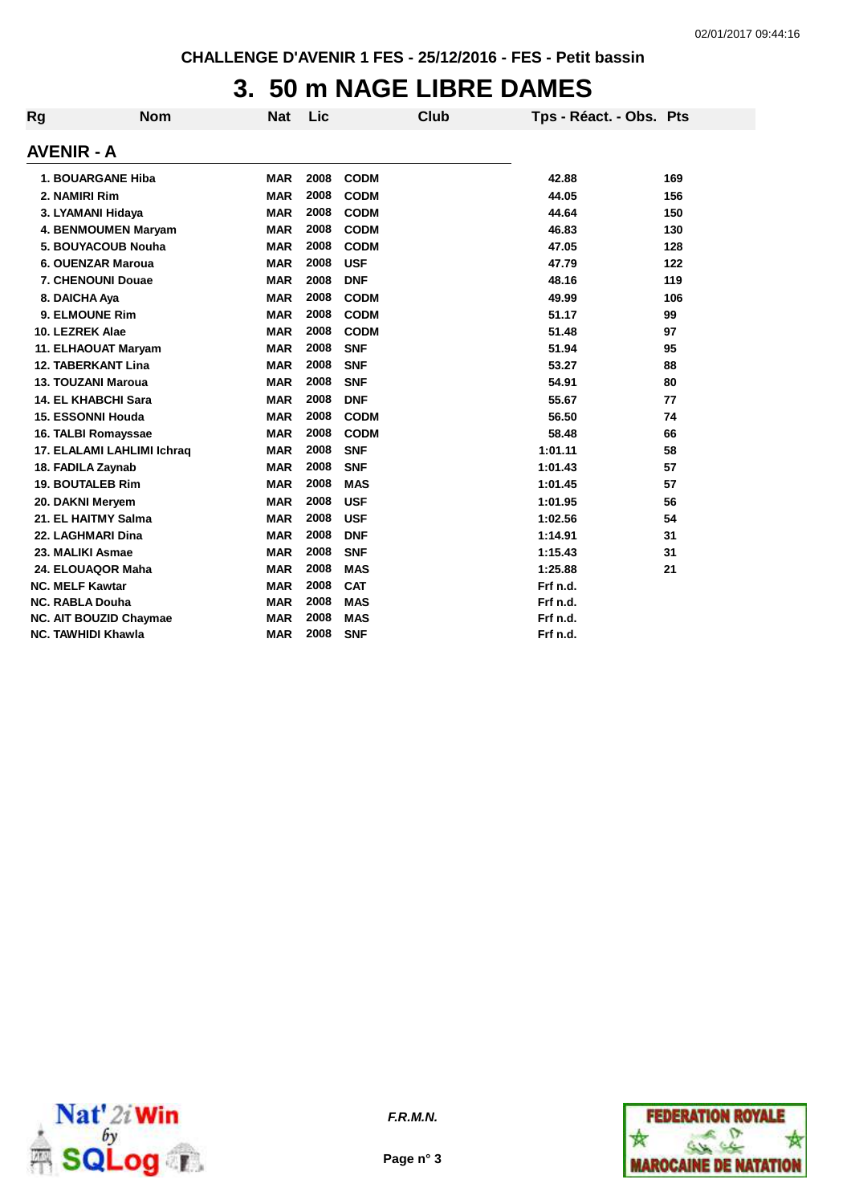## **3. 50 m NAGE LIBRE DAMES**

| Rg         | <b>Nom</b>                    | <b>Nat</b> | <b>Lic</b> | Club        | Tps - Réact. - Obs. Pts |     |
|------------|-------------------------------|------------|------------|-------------|-------------------------|-----|
| AVENIR - A |                               |            |            |             |                         |     |
|            | 1. BOUARGANE Hiba             | <b>MAR</b> | 2008       | <b>CODM</b> | 42.88                   | 169 |
|            | 2. NAMIRI Rim                 | <b>MAR</b> | 2008       | <b>CODM</b> | 44.05                   | 156 |
|            | 3. LYAMANI Hidaya             | <b>MAR</b> | 2008       | <b>CODM</b> | 44.64                   | 150 |
|            | 4. BENMOUMEN Maryam           | <b>MAR</b> | 2008       | <b>CODM</b> | 46.83                   | 130 |
|            | 5. BOUYACOUB Nouha            | <b>MAR</b> | 2008       | <b>CODM</b> | 47.05                   | 128 |
|            | 6. OUENZAR Maroua             | <b>MAR</b> | 2008       | <b>USF</b>  | 47.79                   | 122 |
|            | 7. CHENOUNI Douae             | <b>MAR</b> | 2008       | <b>DNF</b>  | 48.16                   | 119 |
|            | 8. DAICHA Aya                 | <b>MAR</b> | 2008       | <b>CODM</b> | 49.99                   | 106 |
|            | 9. ELMOUNE Rim                | <b>MAR</b> | 2008       | <b>CODM</b> | 51.17                   | 99  |
|            | 10. LEZREK Alae               | <b>MAR</b> | 2008       | <b>CODM</b> | 51.48                   | 97  |
|            | 11. ELHAOUAT Maryam           | <b>MAR</b> | 2008       | <b>SNF</b>  | 51.94                   | 95  |
|            | <b>12. TABERKANT Lina</b>     | <b>MAR</b> | 2008       | <b>SNF</b>  | 53.27                   | 88  |
|            | <b>13. TOUZANI Maroua</b>     | <b>MAR</b> | 2008       | <b>SNF</b>  | 54.91                   | 80  |
|            | <b>14. EL KHABCHI Sara</b>    | <b>MAR</b> | 2008       | <b>DNF</b>  | 55.67                   | 77  |
|            | <b>15. ESSONNI Houda</b>      | <b>MAR</b> | 2008       | <b>CODM</b> | 56.50                   | 74  |
|            | 16. TALBI Romayssae           | <b>MAR</b> | 2008       | <b>CODM</b> | 58.48                   | 66  |
|            | 17. ELALAMI LAHLIMI Ichraq    | <b>MAR</b> | 2008       | <b>SNF</b>  | 1:01.11                 | 58  |
|            | 18. FADILA Zaynab             | <b>MAR</b> | 2008       | <b>SNF</b>  | 1:01.43                 | 57  |
|            | <b>19. BOUTALEB Rim</b>       | <b>MAR</b> | 2008       | <b>MAS</b>  | 1:01.45                 | 57  |
|            | 20. DAKNI Meryem              | <b>MAR</b> | 2008       | <b>USF</b>  | 1:01.95                 | 56  |
|            | 21. EL HAITMY Salma           | <b>MAR</b> | 2008       | <b>USF</b>  | 1:02.56                 | 54  |
|            | 22. LAGHMARI Dina             | <b>MAR</b> | 2008       | <b>DNF</b>  | 1:14.91                 | 31  |
|            | 23. MALIKI Asmae              | <b>MAR</b> | 2008       | <b>SNF</b>  | 1:15.43                 | 31  |
|            | 24. ELOUAQOR Maha             | <b>MAR</b> | 2008       | <b>MAS</b>  | 1:25.88                 | 21  |
|            | <b>NC. MELF Kawtar</b>        | <b>MAR</b> | 2008       | <b>CAT</b>  | Frf n.d.                |     |
|            | <b>NC. RABLA Douha</b>        | <b>MAR</b> | 2008       | <b>MAS</b>  | Frf n.d.                |     |
|            | <b>NC. AIT BOUZID Chaymae</b> | <b>MAR</b> | 2008       | <b>MAS</b>  | Frf n.d.                |     |
|            | <b>NC. TAWHIDI Khawla</b>     | <b>MAR</b> | 2008       | <b>SNF</b>  | Frf n.d.                |     |



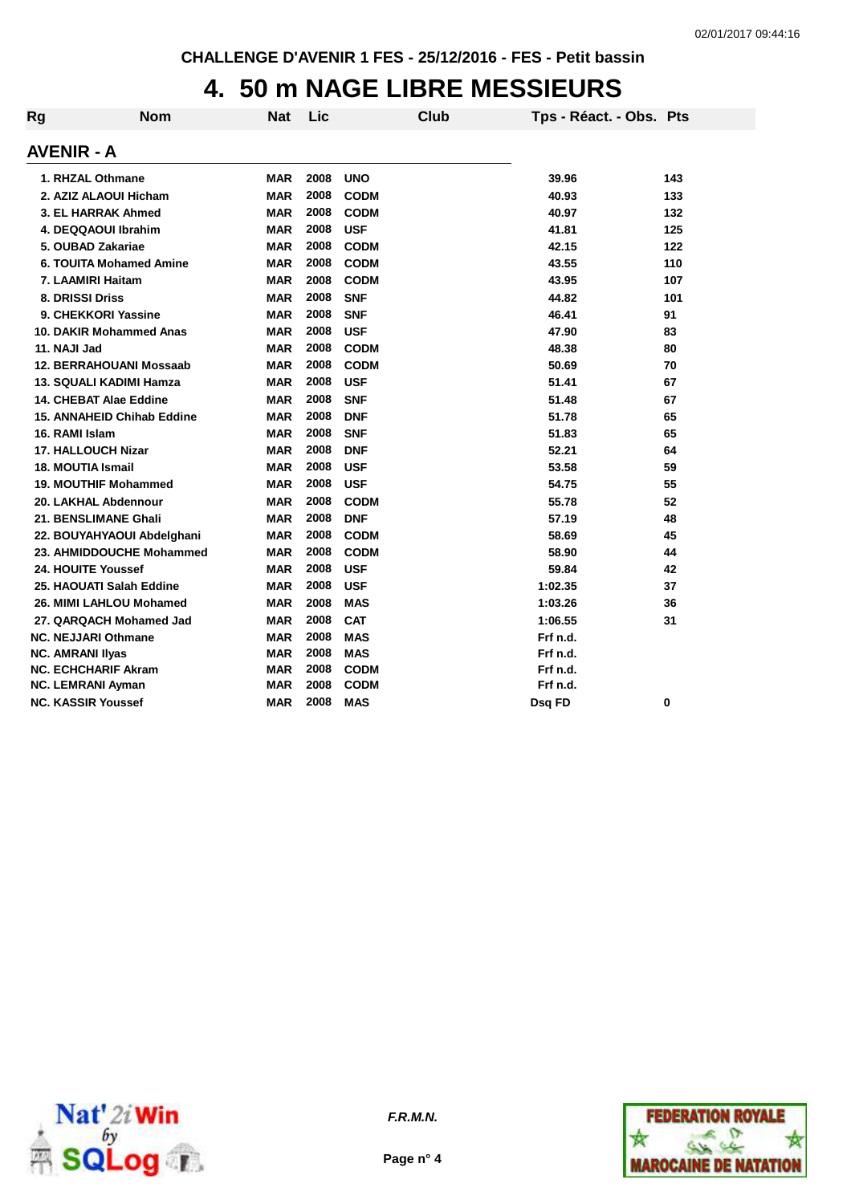#### **4. 50 m NAGE LIBRE MESSIEURS**

| <b>Rg</b> | <b>Nom</b>                        | <b>Nat</b> | Lic  | Club        | Tps - Réact. - Obs. Pts |     |
|-----------|-----------------------------------|------------|------|-------------|-------------------------|-----|
|           | <b>AVENIR - A</b>                 |            |      |             |                         |     |
|           | 1. RHZAL Othmane                  | <b>MAR</b> | 2008 | <b>UNO</b>  | 39.96                   | 143 |
|           | 2. AZIZ ALAOUI Hicham             | MAR        | 2008 | <b>CODM</b> | 40.93                   | 133 |
|           | 3. EL HARRAK Ahmed                | <b>MAR</b> | 2008 | <b>CODM</b> | 40.97                   | 132 |
|           | 4. DEQQAOUI Ibrahim               | <b>MAR</b> | 2008 | <b>USF</b>  | 41.81                   | 125 |
|           | 5. OUBAD Zakariae                 | MAR        | 2008 | <b>CODM</b> | 42.15                   | 122 |
|           | 6. TOUITA Mohamed Amine           | MAR        | 2008 | <b>CODM</b> | 43.55                   | 110 |
|           | 7. LAAMIRI Haitam                 | <b>MAR</b> | 2008 | <b>CODM</b> | 43.95                   | 107 |
|           | 8. DRISSI Driss                   | MAR        | 2008 | <b>SNF</b>  | 44.82                   | 101 |
|           | 9. CHEKKORI Yassine               | <b>MAR</b> | 2008 | <b>SNF</b>  | 46.41                   | 91  |
|           | 10. DAKIR Mohammed Anas           | <b>MAR</b> | 2008 | <b>USF</b>  | 47.90                   | 83  |
|           | 11. NAJI Jad                      | <b>MAR</b> | 2008 | <b>CODM</b> | 48.38                   | 80  |
|           | 12. BERRAHOUANI Mossaab           | <b>MAR</b> | 2008 | <b>CODM</b> | 50.69                   | 70  |
|           | <b>13. SQUALI KADIMI Hamza</b>    | <b>MAR</b> | 2008 | <b>USF</b>  | 51.41                   | 67  |
|           | 14. CHEBAT Alae Eddine            | <b>MAR</b> | 2008 | <b>SNF</b>  | 51.48                   | 67  |
|           | <b>15. ANNAHEID Chihab Eddine</b> | <b>MAR</b> | 2008 | <b>DNF</b>  | 51.78                   | 65  |
|           | 16. RAMI Islam                    | <b>MAR</b> | 2008 | <b>SNF</b>  | 51.83                   | 65  |
|           | <b>17. HALLOUCH Nizar</b>         | MAR        | 2008 | <b>DNF</b>  | 52.21                   | 64  |
|           | <b>18. MOUTIA Ismail</b>          | <b>MAR</b> | 2008 | <b>USF</b>  | 53.58                   | 59  |
|           | 19. MOUTHIF Mohammed              | <b>MAR</b> | 2008 | <b>USF</b>  | 54.75                   | 55  |
|           | 20. LAKHAL Abdennour              | MAR        | 2008 | <b>CODM</b> | 55.78                   | 52  |
|           | 21. BENSLIMANE Ghali              | <b>MAR</b> | 2008 | <b>DNF</b>  | 57.19                   | 48  |
|           | 22. BOUYAHYAOUI Abdelghani        | <b>MAR</b> | 2008 | <b>CODM</b> | 58.69                   | 45  |
|           | 23. AHMIDDOUCHE Mohammed          | MAR        | 2008 | <b>CODM</b> | 58.90                   | 44  |
|           | 24. HOUITE Youssef                | <b>MAR</b> | 2008 | <b>USF</b>  | 59.84                   | 42  |
|           | 25. HAOUATI Salah Eddine          | <b>MAR</b> | 2008 | <b>USF</b>  | 1:02.35                 | 37  |
|           | 26. MIMI LAHLOU Mohamed           | MAR        | 2008 | <b>MAS</b>  | 1:03.26                 | 36  |
|           | 27. QARQACH Mohamed Jad           | <b>MAR</b> | 2008 | <b>CAT</b>  | 1:06.55                 | 31  |
|           | <b>NC. NEJJARI Othmane</b>        | <b>MAR</b> | 2008 | <b>MAS</b>  | Frf n.d.                |     |
|           | <b>NC. AMRANI IIyas</b>           | <b>MAR</b> | 2008 | <b>MAS</b>  | Frf n.d.                |     |
|           | <b>NC. ECHCHARIF Akram</b>        | <b>MAR</b> | 2008 | <b>CODM</b> | Frf n.d.                |     |
|           | <b>NC. LEMRANI Ayman</b>          | MAR        | 2008 | <b>CODM</b> | Frf n.d.                |     |
|           | <b>NC. KASSIR Youssef</b>         | <b>MAR</b> | 2008 | <b>MAS</b>  | Dsq FD                  | 0   |



**Page n° 4**

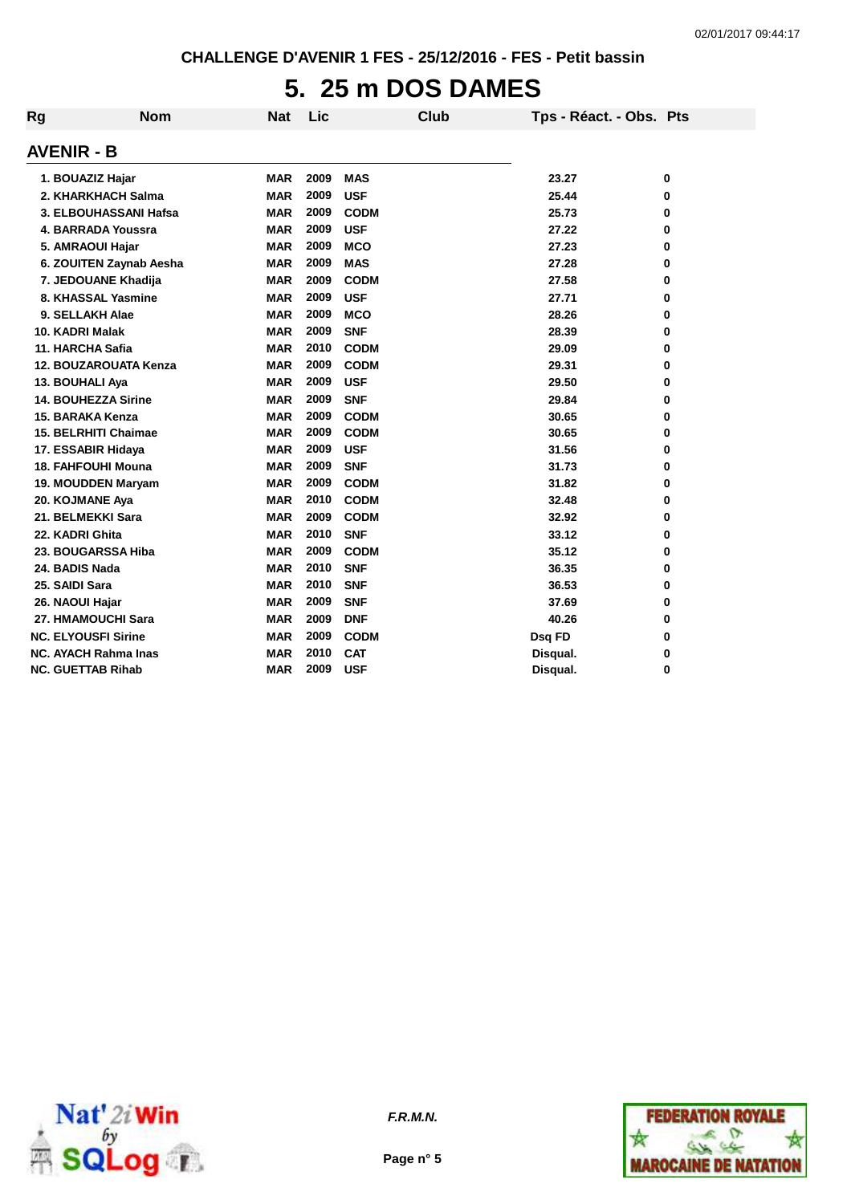# **5. 25 m DOS DAMES**

| Rg                | <b>Nom</b>                  | <b>Nat</b> | Lic  | Club        | Tps - Réact. - Obs. Pts |   |
|-------------------|-----------------------------|------------|------|-------------|-------------------------|---|
| <b>AVENIR - B</b> |                             |            |      |             |                         |   |
|                   | 1. BOUAZIZ Hajar            | <b>MAR</b> | 2009 | <b>MAS</b>  | 23.27                   | 0 |
|                   | 2. KHARKHACH Salma          | <b>MAR</b> | 2009 | <b>USF</b>  | 25.44                   | 0 |
|                   | 3. ELBOUHASSANI Hafsa       | <b>MAR</b> | 2009 | <b>CODM</b> | 25.73                   | 0 |
|                   | 4. BARRADA Youssra          | <b>MAR</b> | 2009 | <b>USF</b>  | 27.22                   | 0 |
|                   | 5. AMRAOUI Hajar            | <b>MAR</b> | 2009 | <b>MCO</b>  | 27.23                   | 0 |
|                   | 6. ZOUITEN Zaynab Aesha     | <b>MAR</b> | 2009 | <b>MAS</b>  | 27.28                   | 0 |
|                   | 7. JEDOUANE Khadija         | <b>MAR</b> | 2009 | <b>CODM</b> | 27.58                   | 0 |
|                   | 8. KHASSAL Yasmine          | MAR        | 2009 | <b>USF</b>  | 27.71                   | 0 |
|                   | 9. SELLAKH Alae             | <b>MAR</b> | 2009 | <b>MCO</b>  | 28.26                   | 0 |
|                   | 10. KADRI Malak             | <b>MAR</b> | 2009 | <b>SNF</b>  | 28.39                   | 0 |
|                   | 11. HARCHA Safia            | <b>MAR</b> | 2010 | <b>CODM</b> | 29.09                   | 0 |
|                   | 12. BOUZAROUATA Kenza       | <b>MAR</b> | 2009 | <b>CODM</b> | 29.31                   | 0 |
|                   | 13. BOUHALI Aya             | <b>MAR</b> | 2009 | <b>USF</b>  | 29.50                   | 0 |
|                   | <b>14. BOUHEZZA Sirine</b>  | <b>MAR</b> | 2009 | <b>SNF</b>  | 29.84                   | 0 |
|                   | 15. BARAKA Kenza            | <b>MAR</b> | 2009 | <b>CODM</b> | 30.65                   | 0 |
|                   | <b>15. BELRHITI Chaimae</b> | <b>MAR</b> | 2009 | <b>CODM</b> | 30.65                   | 0 |
|                   | 17. ESSABIR Hidaya          | <b>MAR</b> | 2009 | <b>USF</b>  | 31.56                   | 0 |
|                   | <b>18. FAHFOUHI Mouna</b>   | <b>MAR</b> | 2009 | <b>SNF</b>  | 31.73                   | 0 |
|                   | 19. MOUDDEN Maryam          | <b>MAR</b> | 2009 | <b>CODM</b> | 31.82                   | 0 |
|                   | 20. KOJMANE Aya             | <b>MAR</b> | 2010 | <b>CODM</b> | 32.48                   | 0 |
|                   | 21. BELMEKKI Sara           | <b>MAR</b> | 2009 | <b>CODM</b> | 32.92                   | 0 |
|                   | 22. KADRI Ghita             | <b>MAR</b> | 2010 | <b>SNF</b>  | 33.12                   | 0 |
|                   | 23. BOUGARSSA Hiba          | <b>MAR</b> | 2009 | <b>CODM</b> | 35.12                   | 0 |
|                   | 24. BADIS Nada              | <b>MAR</b> | 2010 | <b>SNF</b>  | 36.35                   | 0 |
| 25. SAIDI Sara    |                             | <b>MAR</b> | 2010 | <b>SNF</b>  | 36.53                   | 0 |
|                   | 26. NAOUI Hajar             | <b>MAR</b> | 2009 | <b>SNF</b>  | 37.69                   | 0 |
|                   | 27. HMAMOUCHI Sara          | <b>MAR</b> | 2009 | <b>DNF</b>  | 40.26                   | 0 |
|                   | <b>NC. ELYOUSFI Sirine</b>  | <b>MAR</b> | 2009 | <b>CODM</b> | Dsq FD                  | 0 |
|                   | <b>NC. AYACH Rahma Inas</b> | <b>MAR</b> | 2010 | <b>CAT</b>  | Disqual.                | 0 |
|                   | <b>NC. GUETTAB Rihab</b>    | <b>MAR</b> | 2009 | <b>USF</b>  | Disqual.                | 0 |



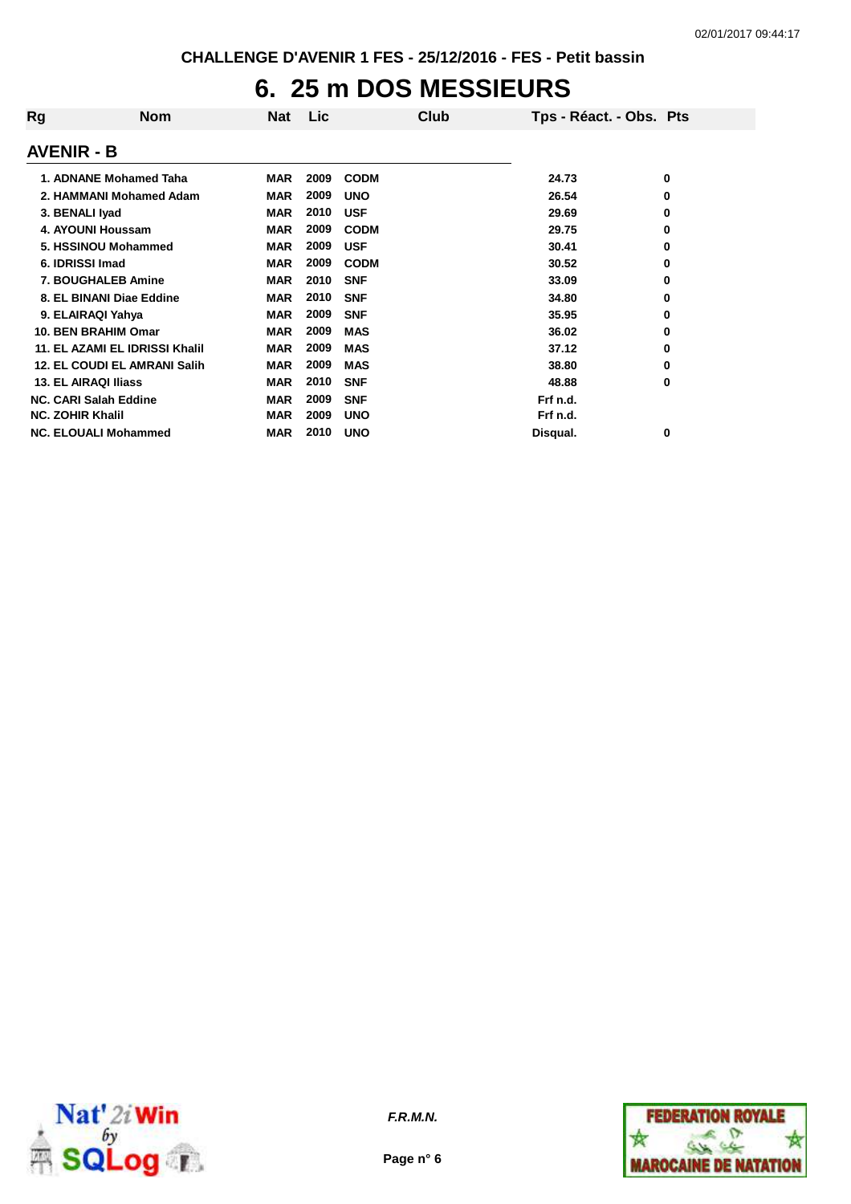### **6. 25 m DOS MESSIEURS**

| Rg                           | <b>Nom</b>                          | Nat        | <b>Lic</b> | Club        | Tps - Réact. - Obs. Pts |   |
|------------------------------|-------------------------------------|------------|------------|-------------|-------------------------|---|
| <b>AVENIR - B</b>            |                                     |            |            |             |                         |   |
|                              | 1. ADNANE Mohamed Taha              | <b>MAR</b> | 2009       | <b>CODM</b> | 24.73                   | 0 |
|                              | 2. HAMMANI Mohamed Adam             | <b>MAR</b> | 2009       | <b>UNO</b>  | 26.54                   | 0 |
| 3. BENALI Iyad               |                                     | <b>MAR</b> | 2010       | <b>USF</b>  | 29.69                   | 0 |
|                              | 4. AYOUNI Houssam                   | <b>MAR</b> | 2009       | <b>CODM</b> | 29.75                   | 0 |
|                              | 5. HSSINOU Mohammed                 | <b>MAR</b> | 2009       | <b>USF</b>  | 30.41                   | 0 |
| 6. IDRISSI Imad              |                                     | <b>MAR</b> | 2009       | <b>CODM</b> | 30.52                   | 0 |
|                              | <b>7. BOUGHALEB Amine</b>           | <b>MAR</b> | 2010       | <b>SNF</b>  | 33.09                   | 0 |
|                              | 8. EL BINANI Diae Eddine            | <b>MAR</b> | 2010       | <b>SNF</b>  | 34.80                   | 0 |
| 9. ELAIRAQI Yahya            |                                     | <b>MAR</b> | 2009       | <b>SNF</b>  | 35.95                   | 0 |
|                              | 10. BEN BRAHIM Omar                 | <b>MAR</b> | 2009       | <b>MAS</b>  | 36.02                   | 0 |
|                              | 11. EL AZAMI EL IDRISSI Khalil      | <b>MAR</b> | 2009       | <b>MAS</b>  | 37.12                   | 0 |
|                              | <b>12. EL COUDI EL AMRANI Salih</b> | <b>MAR</b> | 2009       | <b>MAS</b>  | 38.80                   | 0 |
| 13. EL AIRAQI Iliass         |                                     | <b>MAR</b> | 2010       | <b>SNF</b>  | 48.88                   | 0 |
| <b>NC. CARI Salah Eddine</b> |                                     | <b>MAR</b> | 2009       | <b>SNF</b>  | Frf n.d.                |   |
| <b>NC. ZOHIR Khalil</b>      |                                     | <b>MAR</b> | 2009       | <b>UNO</b>  | Frf n.d.                |   |
|                              | <b>NC. ELOUALI Mohammed</b>         | <b>MAR</b> | 2010       | <b>UNO</b>  | Disqual.                | 0 |



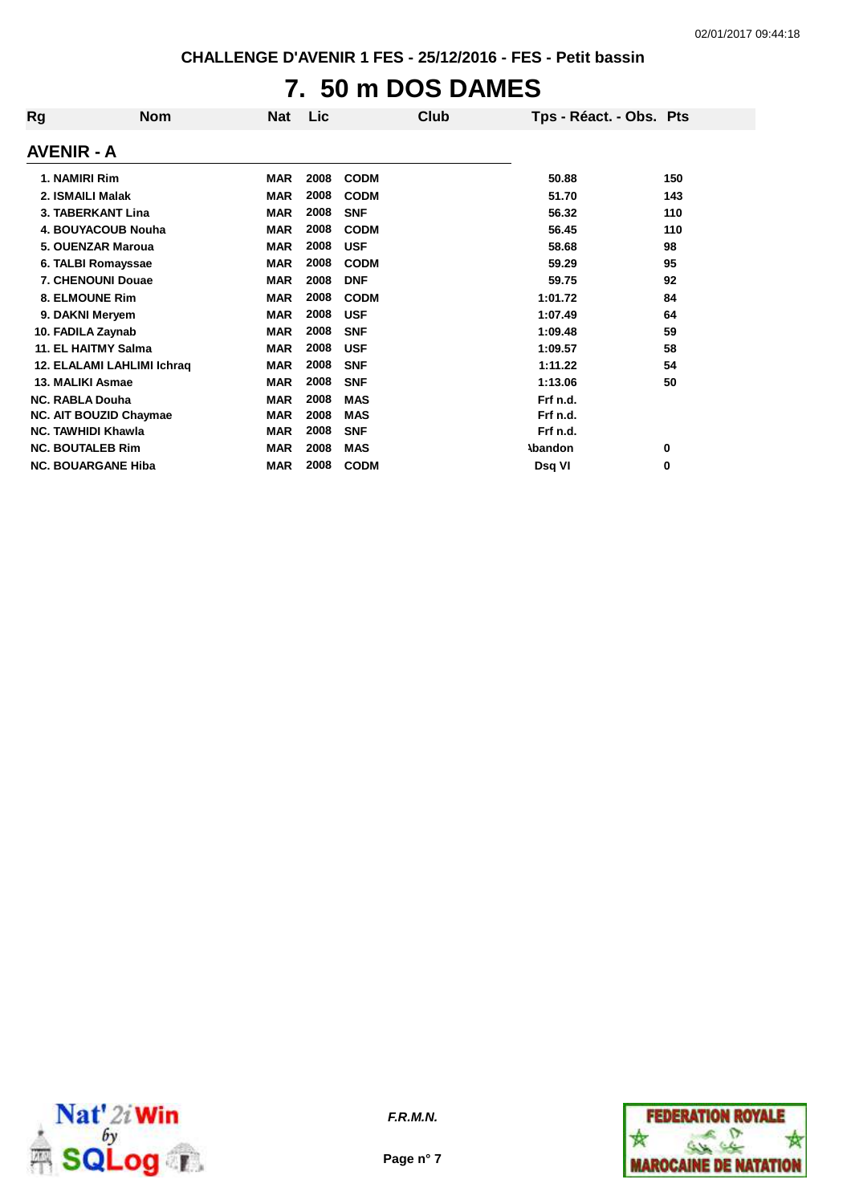## **7. 50 m DOS DAMES**

| Rg                      | <b>Nom</b>                    | Nat        | Lic  | Club        | Tps - Réact. - Obs. Pts |     |
|-------------------------|-------------------------------|------------|------|-------------|-------------------------|-----|
| <b>AVENIR - A</b>       |                               |            |      |             |                         |     |
| 1. NAMIRI Rim           |                               | <b>MAR</b> | 2008 | <b>CODM</b> | 50.88                   | 150 |
| 2. ISMAILI Malak        |                               | <b>MAR</b> | 2008 | <b>CODM</b> | 51.70                   | 143 |
|                         | <b>3. TABERKANT Lina</b>      | <b>MAR</b> | 2008 | <b>SNF</b>  | 56.32                   | 110 |
|                         | 4. BOUYACOUB Nouha            | <b>MAR</b> | 2008 | <b>CODM</b> | 56.45                   | 110 |
|                         | 5. OUENZAR Maroua             | <b>MAR</b> | 2008 | <b>USF</b>  | 58.68                   | 98  |
|                         | 6. TALBI Romayssae            | <b>MAR</b> | 2008 | <b>CODM</b> | 59.29                   | 95  |
|                         | 7. CHENOUNI Douae             | <b>MAR</b> | 2008 | <b>DNF</b>  | 59.75                   | 92  |
|                         | 8. ELMOUNE Rim                | <b>MAR</b> | 2008 | <b>CODM</b> | 1:01.72                 | 84  |
|                         | 9. DAKNI Meryem               | <b>MAR</b> | 2008 | <b>USF</b>  | 1:07.49                 | 64  |
| 10. FADILA Zaynab       |                               | <b>MAR</b> | 2008 | <b>SNF</b>  | 1:09.48                 | 59  |
|                         | 11. EL HAITMY Salma           | <b>MAR</b> | 2008 | <b>USF</b>  | 1:09.57                 | 58  |
|                         | 12. ELALAMI LAHLIMI Ichraq    | <b>MAR</b> | 2008 | <b>SNF</b>  | 1:11.22                 | 54  |
| 13. MALIKI Asmae        |                               | <b>MAR</b> | 2008 | <b>SNF</b>  | 1:13.06                 | 50  |
| <b>NC. RABLA Douha</b>  |                               | <b>MAR</b> | 2008 | <b>MAS</b>  | Frf n.d.                |     |
|                         | <b>NC. AIT BOUZID Chaymae</b> | <b>MAR</b> | 2008 | <b>MAS</b>  | Frf n.d.                |     |
|                         | <b>NC. TAWHIDI Khawla</b>     | <b>MAR</b> | 2008 | <b>SNF</b>  | Frf n.d.                |     |
| <b>NC. BOUTALEB Rim</b> |                               | <b>MAR</b> | 2008 | <b>MAS</b>  | <b>\bandon</b>          | 0   |
|                         | <b>NC. BOUARGANE Hiba</b>     | <b>MAR</b> | 2008 | <b>CODM</b> | Dsg VI                  | 0   |



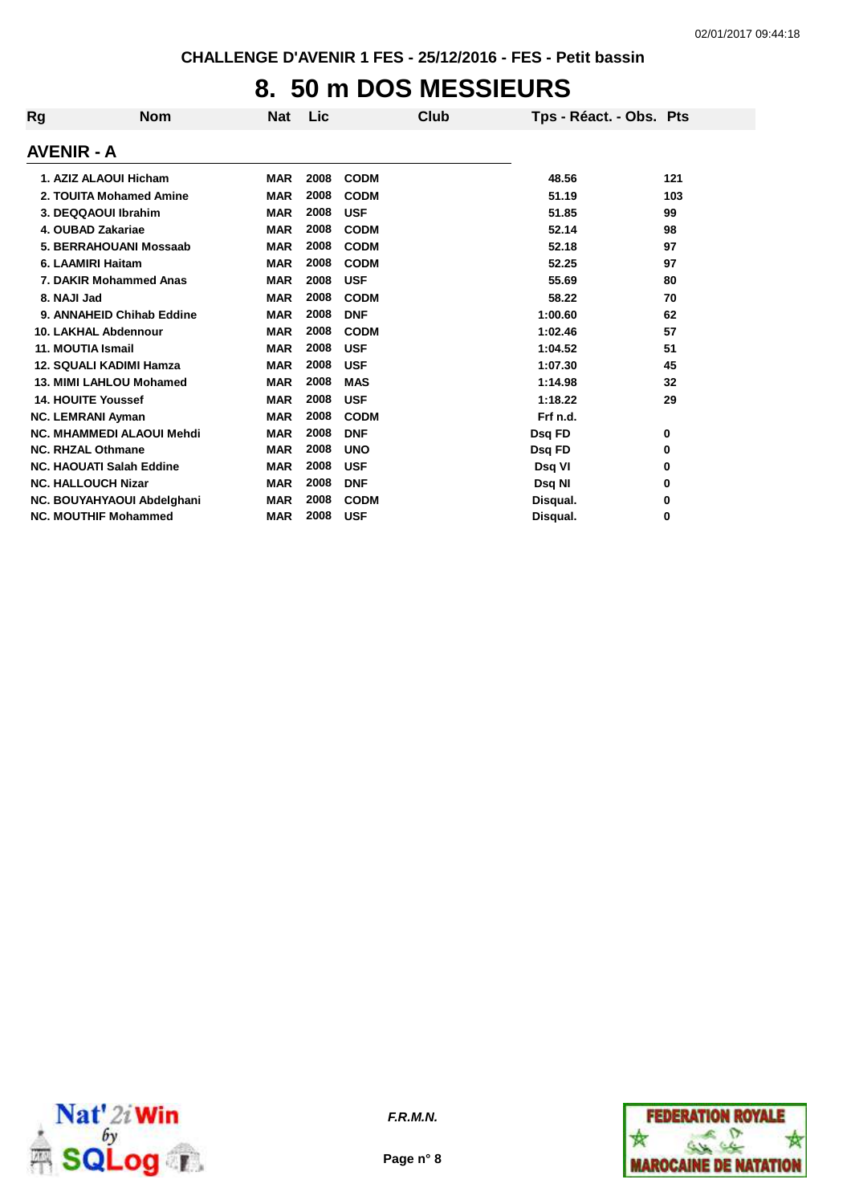### **8. 50 m DOS MESSIEURS**

| Rg                               | <b>Nom</b> | <b>Nat</b> | Lic  | Club        | Tps - Réact. - Obs. Pts |     |
|----------------------------------|------------|------------|------|-------------|-------------------------|-----|
| <b>AVENIR - A</b>                |            |            |      |             |                         |     |
| 1. AZIZ ALAOUI Hicham            |            | <b>MAR</b> | 2008 | <b>CODM</b> | 48.56                   | 121 |
| 2. TOUITA Mohamed Amine          |            | <b>MAR</b> | 2008 | <b>CODM</b> | 51.19                   | 103 |
| 3. DEQQAOUI Ibrahim              |            | <b>MAR</b> | 2008 | <b>USF</b>  | 51.85                   | 99  |
| 4. OUBAD Zakariae                |            | <b>MAR</b> | 2008 | <b>CODM</b> | 52.14                   | 98  |
| 5. BERRAHOUANI Mossaab           |            | <b>MAR</b> | 2008 | <b>CODM</b> | 52.18                   | 97  |
| 6. LAAMIRI Haitam                |            | <b>MAR</b> | 2008 | <b>CODM</b> | 52.25                   | 97  |
| 7. DAKIR Mohammed Anas           |            | <b>MAR</b> | 2008 | <b>USF</b>  | 55.69                   | 80  |
| 8. NAJI Jad                      |            | <b>MAR</b> | 2008 | <b>CODM</b> | 58.22                   | 70  |
| 9. ANNAHEID Chihab Eddine        |            | <b>MAR</b> | 2008 | <b>DNF</b>  | 1:00.60                 | 62  |
| <b>10. LAKHAL Abdennour</b>      |            | <b>MAR</b> | 2008 | <b>CODM</b> | 1:02.46                 | 57  |
| 11. MOUTIA Ismail                |            | <b>MAR</b> | 2008 | <b>USF</b>  | 1:04.52                 | 51  |
| <b>12. SQUALI KADIMI Hamza</b>   |            | <b>MAR</b> | 2008 | <b>USF</b>  | 1:07.30                 | 45  |
| 13. MIMI LAHLOU Mohamed          |            | <b>MAR</b> | 2008 | <b>MAS</b>  | 1:14.98                 | 32  |
| <b>14. HOUITE Youssef</b>        |            | <b>MAR</b> | 2008 | <b>USF</b>  | 1:18.22                 | 29  |
| <b>NC. LEMRANI Ayman</b>         |            | <b>MAR</b> | 2008 | <b>CODM</b> | Frf n.d.                |     |
| <b>NC. MHAMMEDI ALAOUI Mehdi</b> |            | <b>MAR</b> | 2008 | <b>DNF</b>  | Dsq FD                  | 0   |
| <b>NC. RHZAL Othmane</b>         |            | <b>MAR</b> | 2008 | <b>UNO</b>  | Dsq FD                  | 0   |
| <b>NC. HAOUATI Salah Eddine</b>  |            | <b>MAR</b> | 2008 | <b>USF</b>  | Dsq VI                  | 0   |
| <b>NC. HALLOUCH Nizar</b>        |            | <b>MAR</b> | 2008 | <b>DNF</b>  | Dsq NI                  | 0   |
| NC. BOUYAHYAOUI Abdelghani       |            | <b>MAR</b> | 2008 | <b>CODM</b> | Disqual.                | 0   |
| <b>NC. MOUTHIF Mohammed</b>      |            | <b>MAR</b> | 2008 | <b>USF</b>  | Disqual.                | 0   |



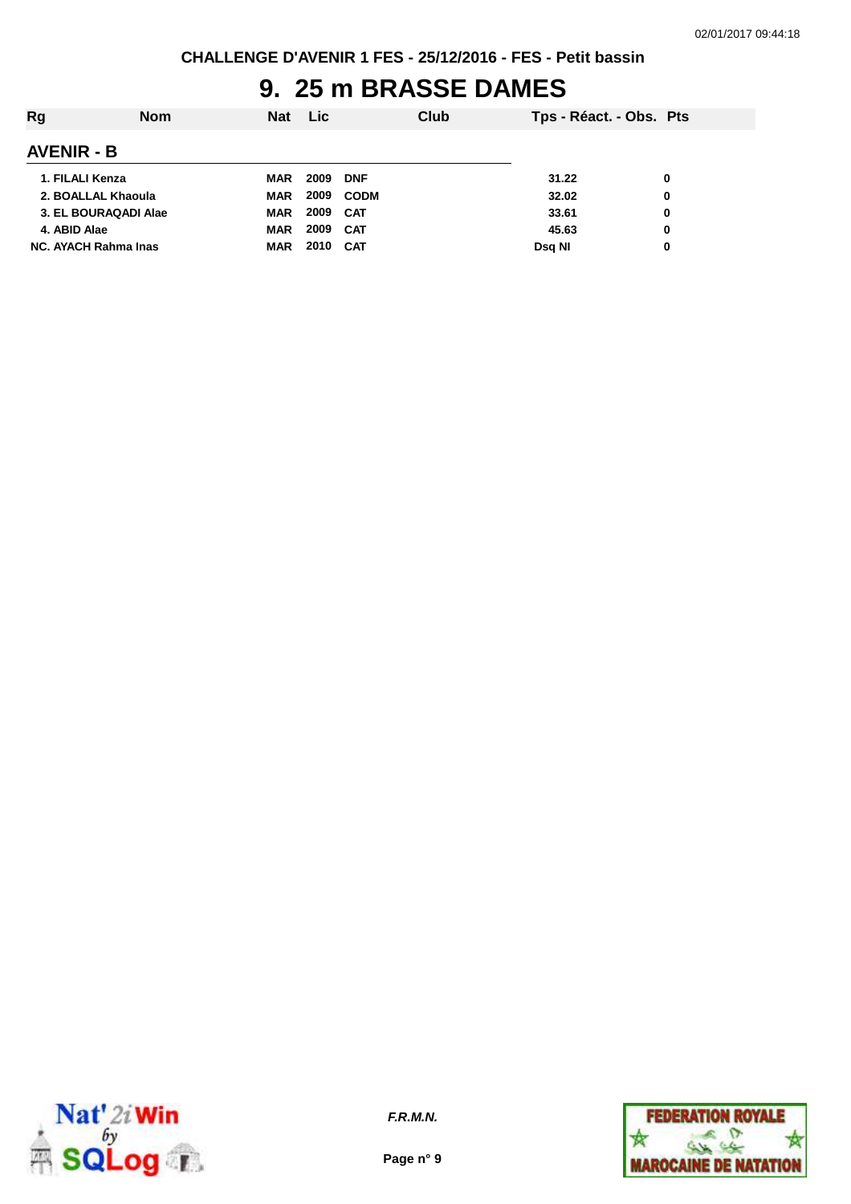## **9. 25 m BRASSE DAMES**

| Rg                          | Nom | <b>Nat</b> | <b>Lic</b> |             | Club | Tps - Réact. - Obs. Pts |          |
|-----------------------------|-----|------------|------------|-------------|------|-------------------------|----------|
| <b>AVENIR - B</b>           |     |            |            |             |      |                         |          |
| 1. FILALI Kenza             |     | MAR        | 2009       | <b>DNF</b>  |      | 31.22                   | 0        |
| 2. BOALLAL Khaoula          |     | <b>MAR</b> | 2009       | <b>CODM</b> |      | 32.02                   | 0        |
| 3. EL BOURAQADI Alae        |     | <b>MAR</b> | 2009       | <b>CAT</b>  |      | 33.61                   | $\bf{0}$ |
| 4. ABID Alae                |     | <b>MAR</b> | 2009       | CAT         |      | 45.63                   | 0        |
| <b>NC. AYACH Rahma Inas</b> |     | <b>MAR</b> | 2010       | CAT         |      | Dsg NI                  | 0        |



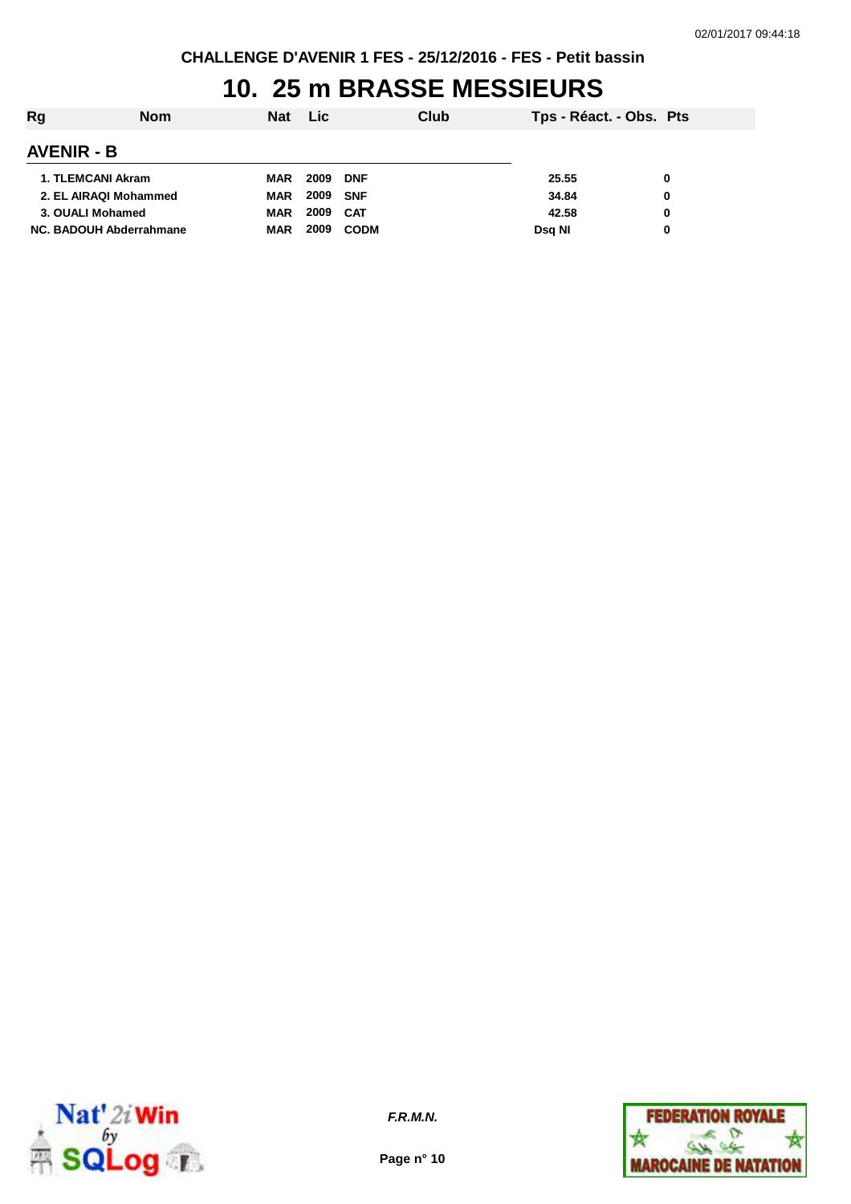#### **10. 25 m BRASSE MESSIEURS**

| Rg                      | Nom | <b>Nat</b> | Lic  |             | Club | Tps - Réact. - Obs. Pts |   |
|-------------------------|-----|------------|------|-------------|------|-------------------------|---|
| <b>AVENIR - B</b>       |     |            |      |             |      |                         |   |
| 1. TLEMCANI Akram       |     | <b>MAR</b> | 2009 | <b>DNF</b>  |      | 25.55                   | 0 |
| 2. EL AIRAQI Mohammed   |     | <b>MAR</b> | 2009 | <b>SNF</b>  |      | 34.84                   | 0 |
| 3. OUALI Mohamed        |     | <b>MAR</b> | 2009 | <b>CAT</b>  |      | 42.58                   | 0 |
| NC. BADOUH Abderrahmane |     | <b>MAR</b> | 2009 | <b>CODM</b> |      | Dsg NI                  | 0 |



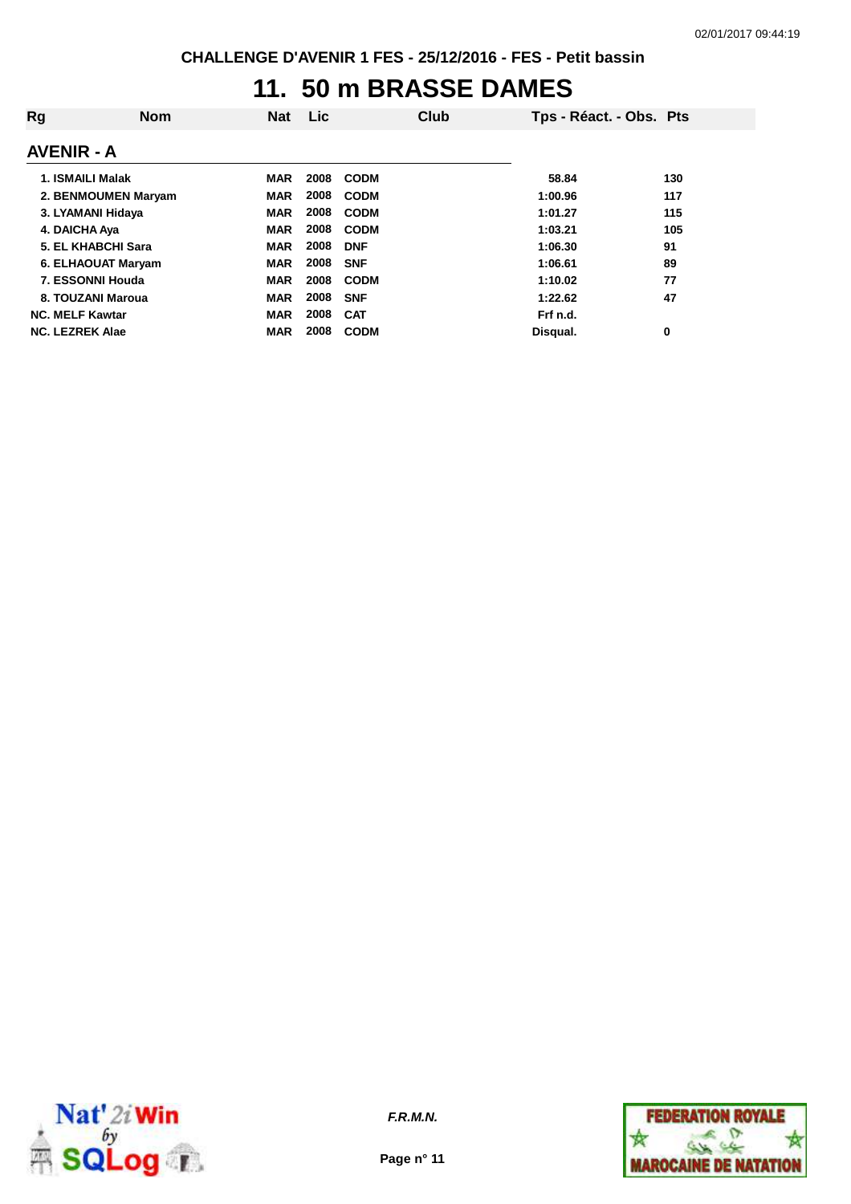### **11. 50 m BRASSE DAMES**

| Rg                     | <b>Nom</b>          | <b>Nat</b> | <b>Lic</b> | Club        | Tps - Réact. - Obs. Pts |     |
|------------------------|---------------------|------------|------------|-------------|-------------------------|-----|
| <b>AVENIR - A</b>      |                     |            |            |             |                         |     |
| 1. ISMAILI Malak       |                     | <b>MAR</b> | 2008       | <b>CODM</b> | 58.84                   | 130 |
|                        | 2. BENMOUMEN Maryam | <b>MAR</b> | 2008       | <b>CODM</b> | 1:00.96                 | 117 |
| 3. LYAMANI Hidaya      |                     | <b>MAR</b> | 2008       | <b>CODM</b> | 1:01.27                 | 115 |
| 4. DAICHA Aya          |                     | <b>MAR</b> | 2008       | <b>CODM</b> | 1:03.21                 | 105 |
|                        | 5. EL KHABCHI Sara  | <b>MAR</b> | 2008       | <b>DNF</b>  | 1:06.30                 | 91  |
|                        | 6. ELHAOUAT Maryam  | <b>MAR</b> | 2008       | <b>SNF</b>  | 1:06.61                 | 89  |
|                        | 7. ESSONNI Houda    | <b>MAR</b> | 2008       | <b>CODM</b> | 1:10.02                 | 77  |
|                        | 8. TOUZANI Maroua   | <b>MAR</b> | 2008       | <b>SNF</b>  | 1:22.62                 | 47  |
| <b>NC. MELF Kawtar</b> |                     | <b>MAR</b> | 2008       | <b>CAT</b>  | Frf n.d.                |     |
| <b>NC. LEZREK Alae</b> |                     | <b>MAR</b> | 2008       | <b>CODM</b> | Disqual.                | 0   |



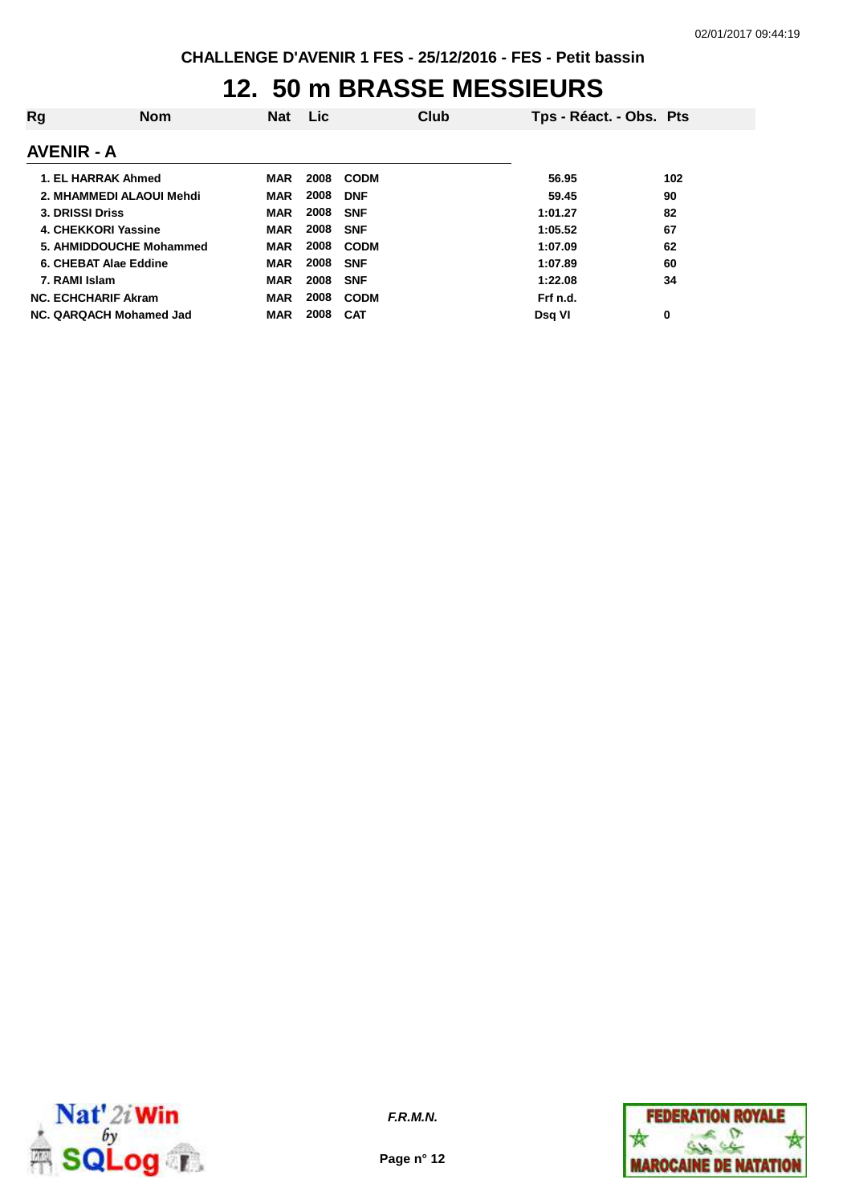### **12. 50 m BRASSE MESSIEURS**

| Rg                | <b>Nom</b>                 | <b>Nat</b> | <b>Lic</b> | <b>Club</b> | Tps - Réact. - Obs. Pts |     |
|-------------------|----------------------------|------------|------------|-------------|-------------------------|-----|
| <b>AVENIR - A</b> |                            |            |            |             |                         |     |
|                   | 1. EL HARRAK Ahmed         | MAR        | 2008       | <b>CODM</b> | 56.95                   | 102 |
|                   | 2. MHAMMEDI ALAOUI Mehdi   | <b>MAR</b> | 2008       | <b>DNF</b>  | 59.45                   | 90  |
| 3. DRISSI Driss   |                            | <b>MAR</b> | 2008       | <b>SNF</b>  | 1:01.27                 | 82  |
|                   | 4. CHEKKORI Yassine        | <b>MAR</b> | 2008       | <b>SNF</b>  | 1:05.52                 | 67  |
|                   | 5. AHMIDDOUCHE Mohammed    | <b>MAR</b> | 2008       | <b>CODM</b> | 1:07.09                 | 62  |
|                   | 6. CHEBAT Alae Eddine      | <b>MAR</b> | 2008       | <b>SNF</b>  | 1:07.89                 | 60  |
| 7. RAMI Islam     |                            | <b>MAR</b> | 2008       | <b>SNF</b>  | 1:22.08                 | 34  |
|                   | <b>NC. ECHCHARIF Akram</b> | <b>MAR</b> | 2008       | <b>CODM</b> | Frf n.d.                |     |
|                   | NC. QARQACH Mohamed Jad    | <b>MAR</b> | 2008       | <b>CAT</b>  | Dsa VI                  | 0   |



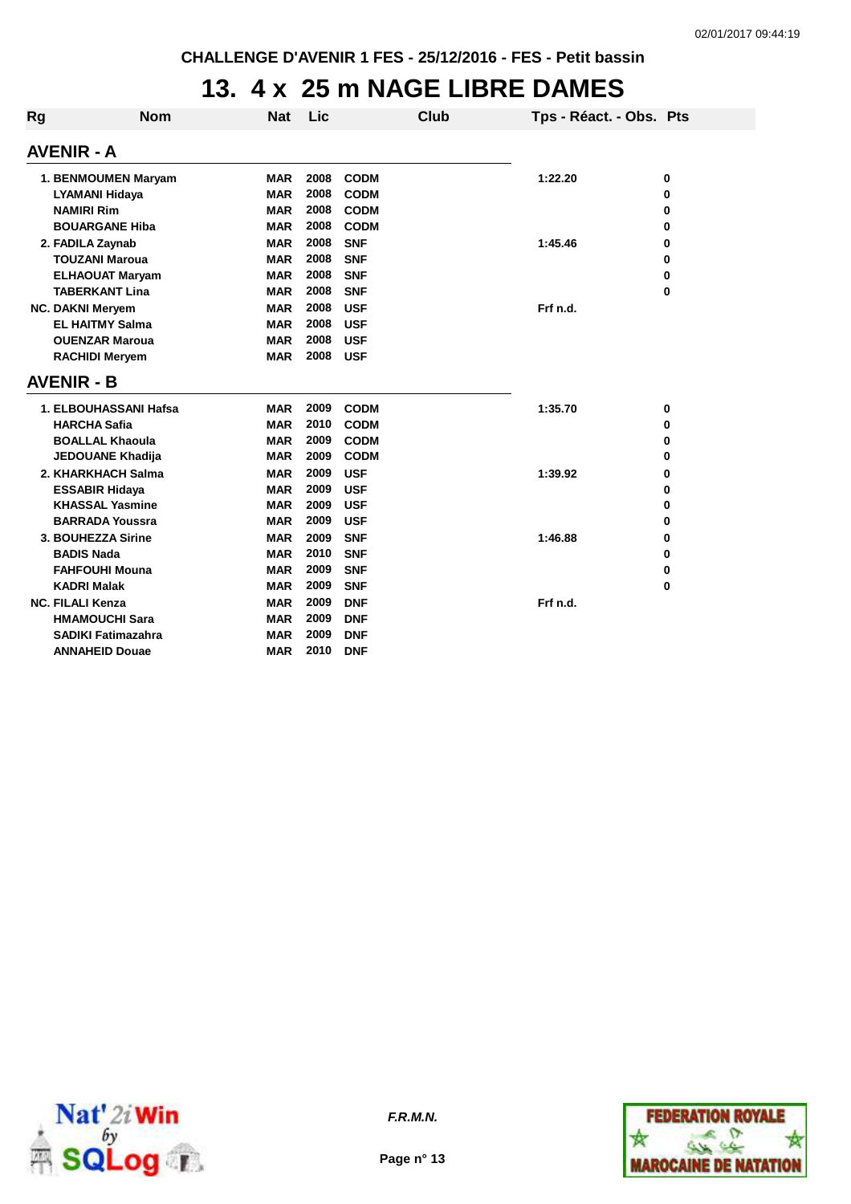### **13. 4 x 25 m NAGE LIBRE DAMES**

| Rg                      | <b>Nom</b>                | <b>Nat</b> | Lic  |             | Club | Tps - Réact. - Obs. Pts |   |
|-------------------------|---------------------------|------------|------|-------------|------|-------------------------|---|
| <b>AVENIR - A</b>       |                           |            |      |             |      |                         |   |
| 1. BENMOUMEN Maryam     |                           | <b>MAR</b> | 2008 | <b>CODM</b> |      | 1:22.20                 | 0 |
| <b>LYAMANI Hidaya</b>   |                           | <b>MAR</b> | 2008 | <b>CODM</b> |      |                         | 0 |
| <b>NAMIRI Rim</b>       |                           | <b>MAR</b> | 2008 | <b>CODM</b> |      |                         | 0 |
| <b>BOUARGANE Hiba</b>   |                           | <b>MAR</b> | 2008 | <b>CODM</b> |      |                         | 0 |
| 2. FADILA Zaynab        |                           | <b>MAR</b> | 2008 | <b>SNF</b>  |      | 1:45.46                 | 0 |
| <b>TOUZANI Maroua</b>   |                           | <b>MAR</b> | 2008 | <b>SNF</b>  |      |                         | 0 |
|                         | <b>ELHAOUAT Maryam</b>    | <b>MAR</b> | 2008 | <b>SNF</b>  |      |                         | 0 |
|                         | <b>TABERKANT Lina</b>     | <b>MAR</b> | 2008 | <b>SNF</b>  |      |                         | 0 |
| <b>NC. DAKNI Meryem</b> |                           | <b>MAR</b> | 2008 | <b>USF</b>  |      | Frf n.d.                |   |
| <b>EL HAITMY Salma</b>  |                           | <b>MAR</b> | 2008 | <b>USF</b>  |      |                         |   |
|                         | <b>OUENZAR Maroua</b>     | <b>MAR</b> | 2008 | <b>USF</b>  |      |                         |   |
|                         | <b>RACHIDI Meryem</b>     | <b>MAR</b> | 2008 | <b>USF</b>  |      |                         |   |
| <b>AVENIR - B</b>       |                           |            |      |             |      |                         |   |
|                         | 1. ELBOUHASSANI Hafsa     | <b>MAR</b> | 2009 | <b>CODM</b> |      | 1:35.70                 | 0 |
|                         | <b>HARCHA Safia</b>       | <b>MAR</b> | 2010 | <b>CODM</b> |      |                         | 0 |
|                         | <b>BOALLAL Khaoula</b>    | <b>MAR</b> | 2009 | <b>CODM</b> |      |                         | 0 |
|                         | <b>JEDOUANE Khadija</b>   | <b>MAR</b> | 2009 | <b>CODM</b> |      |                         | 0 |
|                         | 2. KHARKHACH Salma        | <b>MAR</b> | 2009 | <b>USF</b>  |      | 1:39.92                 | 0 |
|                         | <b>ESSABIR Hidaya</b>     | <b>MAR</b> | 2009 | <b>USF</b>  |      |                         | 0 |
|                         | <b>KHASSAL Yasmine</b>    | <b>MAR</b> | 2009 | <b>USF</b>  |      |                         | 0 |
|                         | <b>BARRADA Youssra</b>    | <b>MAR</b> | 2009 | <b>USF</b>  |      |                         | 0 |
|                         | 3. BOUHEZZA Sirine        | <b>MAR</b> | 2009 | <b>SNF</b>  |      | 1:46.88                 | 0 |
|                         | <b>BADIS Nada</b>         | <b>MAR</b> | 2010 | <b>SNF</b>  |      |                         | 0 |
|                         | <b>FAHFOUHI Mouna</b>     | <b>MAR</b> | 2009 | <b>SNF</b>  |      |                         | 0 |
|                         | <b>KADRI Malak</b>        | <b>MAR</b> | 2009 | <b>SNF</b>  |      |                         | 0 |
| <b>NC. FILALI Kenza</b> |                           | <b>MAR</b> | 2009 | <b>DNF</b>  |      | Frf n.d.                |   |
|                         | <b>HMAMOUCHI Sara</b>     | <b>MAR</b> | 2009 | <b>DNF</b>  |      |                         |   |
|                         | <b>SADIKI Fatimazahra</b> | <b>MAR</b> | 2009 | <b>DNF</b>  |      |                         |   |
|                         | <b>ANNAHEID Douae</b>     | MAR        | 2010 | <b>DNF</b>  |      |                         |   |